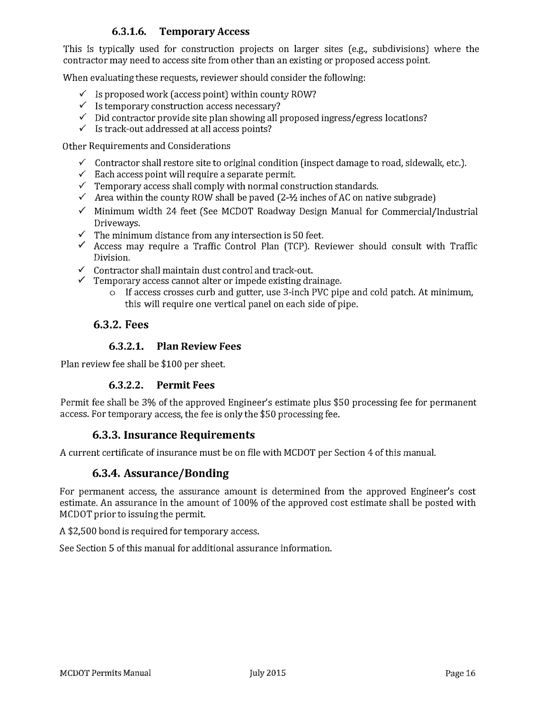# **6.3.1.6. Temporary Access**

This is typically used for construction projects on larger sites (e.g., subdivisions) where the contractor may need to access site from other than an existing or proposed access point.

When evaluating these requests, reviewer should consider the following:

- $\checkmark$  Is proposed work (access point) within county ROW?
- $\checkmark$  Is temporary construction access necessary?
- $\checkmark$  Did contractor provide site plan showing all proposed ingress/egress locations?
- $\checkmark$  Is track-out addressed at all access points?

Other Requirements and Considerations

- $\checkmark$  Contractor shall restore site to original condition (inspect damage to road, sidewalk, etc.).
- $\checkmark$  Each access point will require a separate permit.
- $\checkmark$  Temporary access shall comply with normal construction standards.
- $\checkmark$  Area within the county ROW shall be paved (2- $\frac{1}{2}$  inches of AC on native subgrade)
- $\checkmark$  Minimum width 24 feet (See MCDOT Roadway Design Manual for Commercial/Industrial Driveways.
- $\checkmark$  The minimum distance from any intersection is 50 feet.
- $\checkmark$  Access may require a Traffic Control Plan (TCP). Reviewer should consult with Traffic Division.
- $\checkmark$  Contractor shall maintain dust control and track-out.
- $\checkmark$  Temporary access cannot alter or impede existing drainage.
	- <sup>o</sup> If access crosses curb and gutter, use 3-inch PVC pipe and cold patch. At minimum, this will require one vertical panel on each side of pipe.

### **6.3.2. Fees**

#### **6.3.2.1. Plan Review Fees**

Plan review fee shall be \$100 per sheet.

### **6.3.2.2. Permit Fees**

Permit fee shall be 3% of the approved Engineer's estimate plus \$50 processing fee for permanent access. For temporary access, the fee is only the \$50 processing fee.

# **6.3.3. Insurance Requirements**

A current certificate of insurance must be on file with MCDOT per Section 4 of this manual.

### **6.3.4. Assurance/Bonding**

For permanent access, the assurance amount is determined from the approved Engineer's cost estimate. An assurance in the amount of 100% of the approved cost estimate shall be posted with MCDOT prior to issuing the permit.

A \$2,500 bond is required for temporary access.

See Section 5 of this manual for additional assurance information.